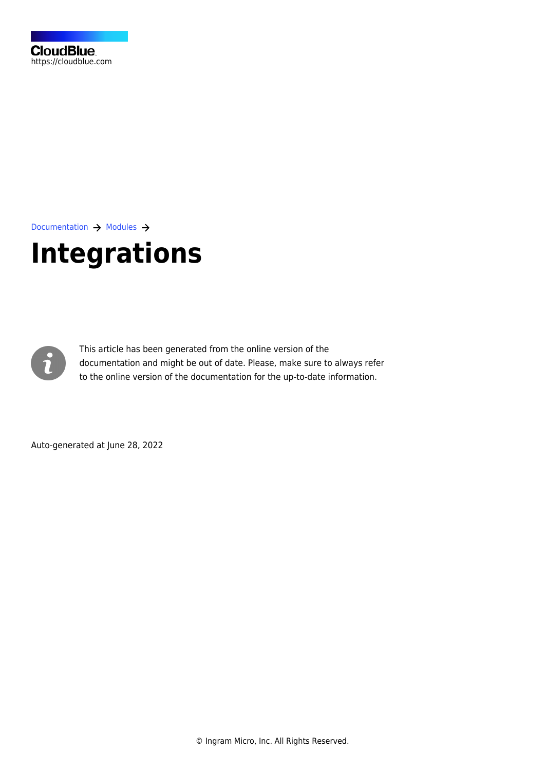

[Documentation](https://connect.cloudblue.com/documentation)  $\rightarrow$  [Modules](https://connect.cloudblue.com/community/modules/)  $\rightarrow$ 

# **[Integrations](https://connect.cloudblue.com/community/modules/extensions/)**



This article has been generated from the online version of the documentation and might be out of date. Please, make sure to always refer to the online version of the documentation for the up-to-date information.

Auto-generated at June 28, 2022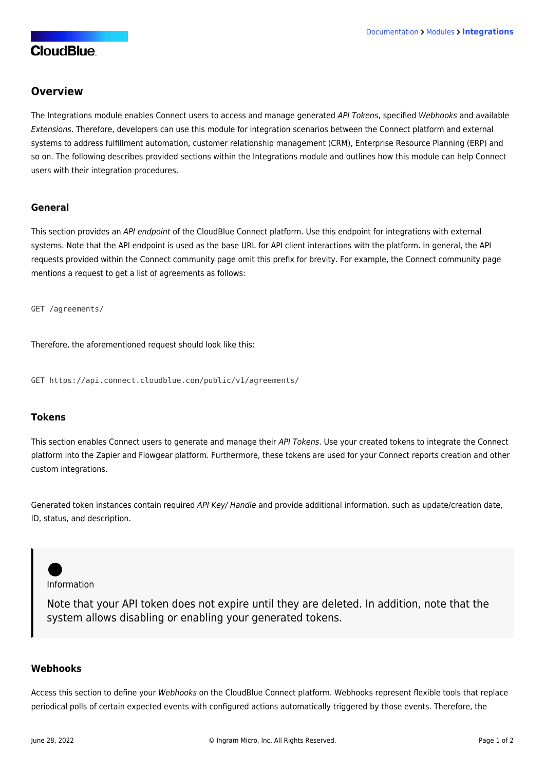# **CloudBlue**

## **Overview**

The Integrations module enables Connect users to access and manage generated API Tokens, specified Webhooks and available Extensions. Therefore, developers can use this module for integration scenarios between the Connect platform and external systems to address fulfillment automation, customer relationship management (CRM), Enterprise Resource Planning (ERP) and so on. The following describes provided sections within the Integrations module and outlines how this module can help Connect users with their integration procedures.

#### **General**

This section provides an API endpoint of the CloudBlue Connect platform. Use this endpoint for integrations with external systems. Note that the API endpoint is used as the base URL for API client interactions with the platform. In general, the API requests provided within the Connect community page omit this prefix for brevity. For example, the Connect community page mentions a request to get a list of agreements as follows:

GET /agreements/

Therefore, the aforementioned request should look like this:

GET https://api.connect.cloudblue.com/public/v1/agreements/

#### **Tokens**

This section enables Connect users to generate and manage their API Tokens. Use your created tokens to integrate the Connect platform into the Zapier and Flowgear platform. Furthermore, these tokens are used for your Connect reports creation and other custom integrations.

Generated token instances contain required API Key/ Handle and provide additional information, such as update/creation date, ID, status, and description.

Information

Note that your API token does not expire until they are deleted. In addition, note that the system allows disabling or enabling your generated tokens.

#### **Webhooks**

Access this section to define your Webhooks on the CloudBlue Connect platform. Webhooks represent flexible tools that replace periodical polls of certain expected events with configured actions automatically triggered by those events. Therefore, the